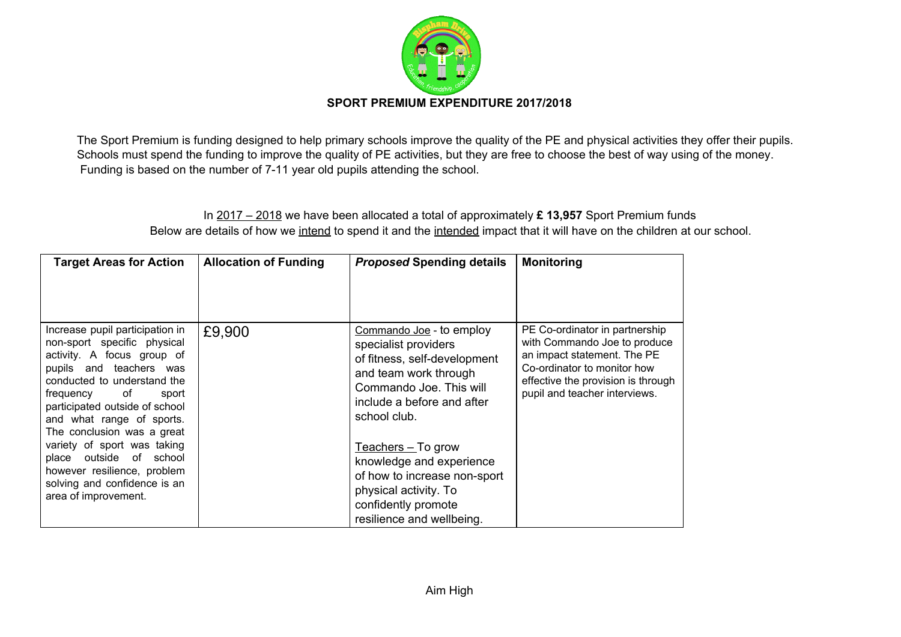

The Sport Premium is funding designed to help primary schools improve the quality of the PE and physical activities they offer their pupils. Schools must spend the funding to improve the quality of PE activities, but they are free to choose the best of way using of the money. Funding is based on the number of 7-11 year old pupils attending the school.

## In 2017 – 2018 we have been allocated a total of approximately **£ 13,957** Sport Premium funds Below are details of how we intend to spend it and the intended impact that it will have on the children at our school.

| <b>Target Areas for Action</b>                                                                                                                                                                                                                                                                                                                                                                                                   | <b>Allocation of Funding</b> | <b>Proposed Spending details</b>                                                                                                                                                                                                                                                                                                                   | <b>Monitoring</b>                                                                                                                                                                                   |
|----------------------------------------------------------------------------------------------------------------------------------------------------------------------------------------------------------------------------------------------------------------------------------------------------------------------------------------------------------------------------------------------------------------------------------|------------------------------|----------------------------------------------------------------------------------------------------------------------------------------------------------------------------------------------------------------------------------------------------------------------------------------------------------------------------------------------------|-----------------------------------------------------------------------------------------------------------------------------------------------------------------------------------------------------|
| Increase pupil participation in<br>non-sport specific physical<br>activity. A focus group of<br>pupils and teachers was<br>conducted to understand the<br>frequency of<br>sport<br>participated outside of school<br>and what range of sports.<br>The conclusion was a great<br>variety of sport was taking<br>outside of school<br>place<br>however resilience, problem<br>solving and confidence is an<br>area of improvement. | £9,900                       | Commando Joe - to employ<br>specialist providers<br>of fitness, self-development<br>and team work through<br>Commando Joe. This will<br>include a before and after<br>school club.<br>$Teaches - To grow$<br>knowledge and experience<br>of how to increase non-sport<br>physical activity. To<br>confidently promote<br>resilience and wellbeing. | PE Co-ordinator in partnership<br>with Commando Joe to produce<br>an impact statement. The PE<br>Co-ordinator to monitor how<br>effective the provision is through<br>pupil and teacher interviews. |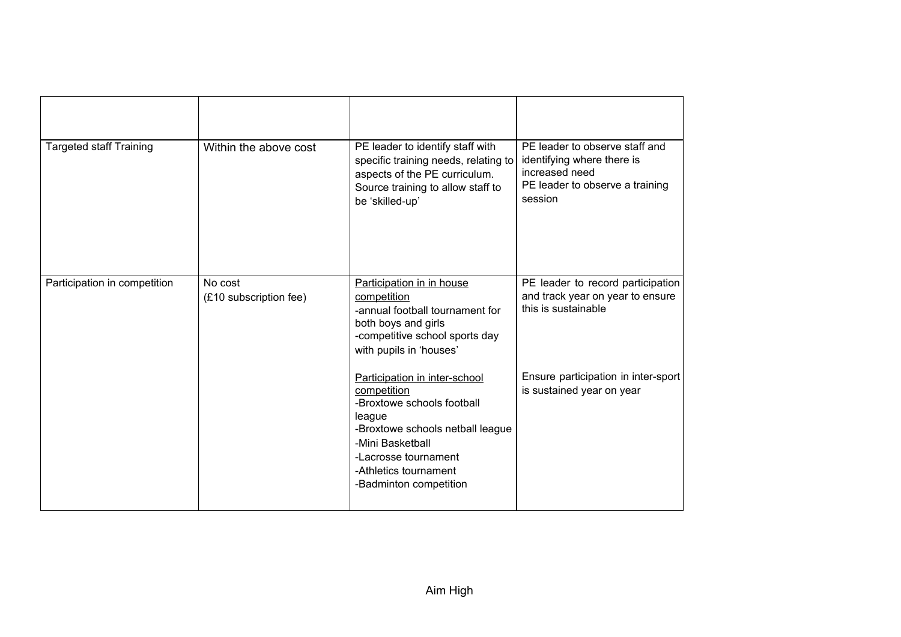| <b>Targeted staff Training</b> | Within the above cost             | PE leader to identify staff with<br>specific training needs, relating to<br>aspects of the PE curriculum.<br>Source training to allow staff to<br>be 'skilled-up'                                                       | PE leader to observe staff and<br>identifying where there is<br>increased need<br>PE leader to observe a training<br>session |
|--------------------------------|-----------------------------------|-------------------------------------------------------------------------------------------------------------------------------------------------------------------------------------------------------------------------|------------------------------------------------------------------------------------------------------------------------------|
| Participation in competition   | No cost<br>(£10 subscription fee) | Participation in in house<br>competition<br>-annual football tournament for<br>both boys and girls<br>-competitive school sports day<br>with pupils in 'houses'                                                         | PE leader to record participation<br>and track year on year to ensure<br>this is sustainable                                 |
|                                |                                   | Participation in inter-school<br>competition<br>-Broxtowe schools football<br>league<br>-Broxtowe schools netball league<br>-Mini Basketball<br>-Lacrosse tournament<br>-Athletics tournament<br>-Badminton competition | Ensure participation in inter-sport<br>is sustained year on year                                                             |